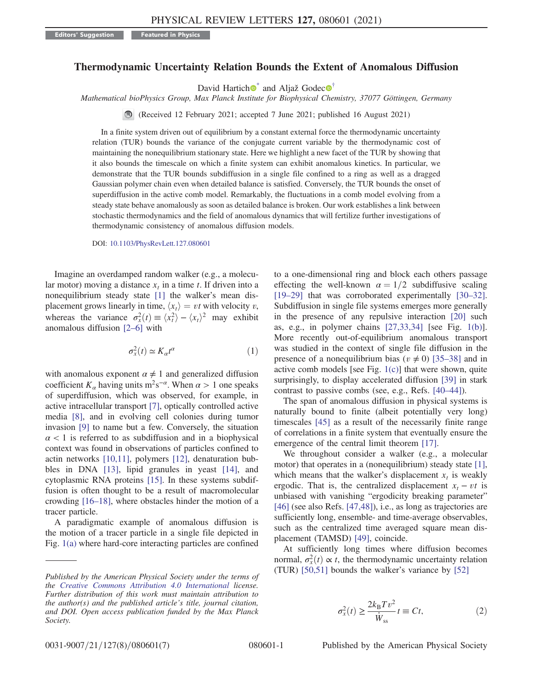## <span id="page-0-2"></span>Thermodynamic Uncertainty Relation Bounds the Extent of Anomalous Diffusion

David Hartich  $\bullet$  and Aljaž Godec  $\bullet$ <sup>[†](#page-4-1)</sup>

Mathematical bioPhysics Group, Max Planck Institute for Biophysical Chemistry, 37077 Göttingen, Germany

(Received 12 February 2021; accepted 7 June 2021; published 16 August 2021)

In a finite system driven out of equilibrium by a constant external force the thermodynamic uncertainty relation (TUR) bounds the variance of the conjugate current variable by the thermodynamic cost of maintaining the nonequilibrium stationary state. Here we highlight a new facet of the TUR by showing that it also bounds the timescale on which a finite system can exhibit anomalous kinetics. In particular, we demonstrate that the TUR bounds subdiffusion in a single file confined to a ring as well as a dragged Gaussian polymer chain even when detailed balance is satisfied. Conversely, the TUR bounds the onset of superdiffusion in the active comb model. Remarkably, the fluctuations in a comb model evolving from a steady state behave anomalously as soon as detailed balance is broken. Our work establishes a link between stochastic thermodynamics and the field of anomalous dynamics that will fertilize further investigations of thermodynamic consistency of anomalous diffusion models.

DOI: [10.1103/PhysRevLett.127.080601](https://doi.org/10.1103/PhysRevLett.127.080601)

<span id="page-0-1"></span>Imagine an overdamped random walker (e.g., a molecular motor) moving a distance  $x_t$  in a time t. If driven into a nonequilibrium steady state [\[1\]](#page-4-2) the walker's mean displacement grows linearly in time,  $\langle x_t \rangle = vt$  with velocity v, whereas the variance  $\sigma_x^2(t) \equiv \langle x_t^2 \rangle - \langle x_t \rangle^2$  may exhibit anomalous diffusion [2–[6\]](#page-4-3) with

$$
\sigma_x^2(t) \simeq K_\alpha t^\alpha \tag{1}
$$

with anomalous exponent  $\alpha \neq 1$  and generalized diffusion coefficient  $K_\alpha$  having units m<sup>2</sup>s<sup>-α</sup>. When  $\alpha > 1$  one speaks of superdiffusion, which was observed, for example, in active intracellular transport [\[7\]](#page-4-4), optically controlled active media [\[8\],](#page-4-5) and in evolving cell colonies during tumor invasion [\[9\]](#page-4-6) to name but a few. Conversely, the situation  $\alpha$  < 1 is referred to as subdiffusion and in a biophysical context was found in observations of particles confined to actin networks [\[10,11\],](#page-4-7) polymers [\[12\]](#page-4-8), denaturation bubbles in DNA [\[13\]](#page-4-9), lipid granules in yeast [\[14\],](#page-4-10) and cytoplasmic RNA proteins [\[15\]](#page-4-11). In these systems subdiffusion is often thought to be a result of macromolecular crowding [\[16](#page-4-12)–18], where obstacles hinder the motion of a tracer particle.

A paradigmatic example of anomalous diffusion is the motion of a tracer particle in a single file depicted in Fig. [1\(a\)](#page-1-0) where hard-core interacting particles are confined to a one-dimensional ring and block each others passage effecting the well-known  $\alpha = 1/2$  subdiffusive scaling [\[19](#page-4-13)–29] that was corroborated experimentally [\[30](#page-4-14)–32]. Subdiffusion in single file systems emerges more generally in the presence of any repulsive interaction [\[20\]](#page-4-15) such as, e.g., in polymer chains [\[27,33,34\]](#page-4-16) [see Fig. [1\(b\)](#page-1-0)]. More recently out-of-equilibrium anomalous transport was studied in the context of single file diffusion in the presence of a nonequilibrium bias ( $v \neq 0$ ) [35–[38\]](#page-4-17) and in active comb models [see Fig. [1\(c\)\]](#page-1-0) that were shown, quite surprisingly, to display accelerated diffusion [\[39\]](#page-5-0) in stark contrast to passive combs (see, e.g., Refs. [\[40](#page-5-1)–44]).

The span of anomalous diffusion in physical systems is naturally bound to finite (albeit potentially very long) timescales [\[45\]](#page-5-2) as a result of the necessarily finite range of correlations in a finite system that eventually ensure the emergence of the central limit theorem [\[17\].](#page-4-18)

We throughout consider a walker (e.g., a molecular motor) that operates in a (nonequilibrium) steady state [\[1\]](#page-4-2), which means that the walker's displacement  $x_t$  is weakly ergodic. That is, the centralized displacement  $x_t - vt$  is unbiased with vanishing "ergodicity breaking parameter" [\[46\]](#page-5-3) (see also Refs. [\[47,48\]](#page-5-4)), i.e., as long as trajectories are sufficiently long, ensemble- and time-average observables, such as the centralized time averaged square mean displacement (TAMSD) [\[49\],](#page-5-5) coincide.

<span id="page-0-0"></span>At sufficiently long times where diffusion becomes normal,  $\sigma_x^2(t) \propto t$ , the thermodynamic uncertainty relation (TUR) [\[50,51\]](#page-5-6) bounds the walker's variance by [\[52\]](#page-5-7)

$$
\sigma_x^2(t) \ge \frac{2k_{\rm B}Tv^2}{\dot{W}_{\rm ss}}t \equiv Ct,\tag{2}
$$

Published by the American Physical Society under the terms of the [Creative Commons Attribution 4.0 International](https://creativecommons.org/licenses/by/4.0/) license. Further distribution of this work must maintain attribution to the author(s) and the published article's title, journal citation, and DOI. Open access publication funded by the Max Planck Society.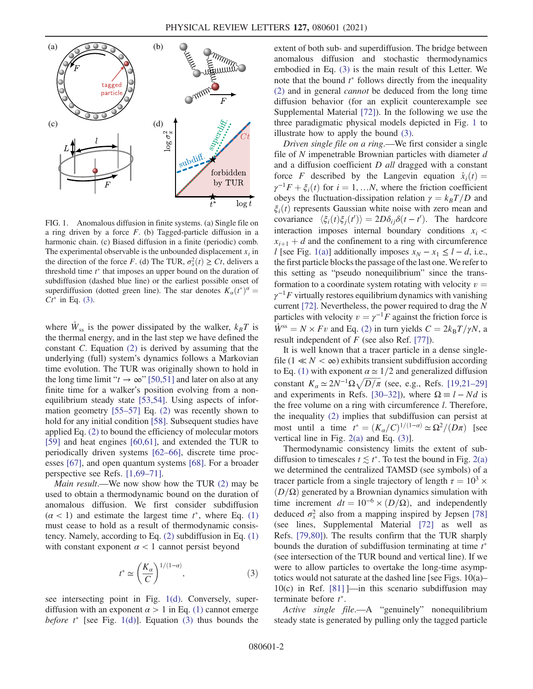<span id="page-1-0"></span>

FIG. 1. Anomalous diffusion in finite systems. (a) Single file on a ring driven by a force  $F$ . (b) Tagged-particle diffusion in a harmonic chain. (c) Biased diffusion in a finite (periodic) comb. The experimental observable is the unbounded displacement  $x_t$  in the direction of the force F. (d) The TUR,  $\sigma_x^2(t) \ge Ct$ , delivers a threshold time  $t^*$  that imposes an upper bound on the duration of subdiffusion (dashed blue line) or the earliest possible onset of superdiffusion (dotted green line). The star denotes  $K_{\alpha}(t^*)^{\alpha} =$  $Ct^*$  in Eq. [\(3\).](#page-1-1)

where  $\dot{W}_{\rm ss}$  is the power dissipated by the walker,  $k_BT$  is the thermal energy, and in the last step we have defined the constant C. Equation [\(2\)](#page-0-0) is derived by assuming that the underlying (full) system's dynamics follows a Markovian time evolution. The TUR was originally shown to hold in the long time limit " $t \to \infty$ " [\[50,51\]](#page-5-6) and later on also at any finite time for a walker's position evolving from a nonequilibrium steady state [\[53,54\].](#page-5-8) Using aspects of information geometry [\[55](#page-5-9)–57] Eq. [\(2\)](#page-0-0) was recently shown to hold for any initial condition [\[58\].](#page-5-10) Subsequent studies have applied Eq. [\(2\)](#page-0-0) to bound the efficiency of molecular motors [\[59\]](#page-5-11) and heat engines [\[60,61\],](#page-5-12) and extended the TUR to periodically driven systems [62–[66\],](#page-5-13) discrete time processes [\[67\],](#page-5-14) and open quantum systems [\[68\]](#page-5-15). For a broader perspective see Refs. [\[1,69](#page-4-2)–71].

Main result.—We now show how the TUR [\(2\)](#page-0-0) may be used to obtain a thermodynamic bound on the duration of anomalous diffusion. We first consider subdiffusion  $(\alpha < 1)$  and estimate the largest time  $t^*$ , where Eq. [\(1\)](#page-0-1) must cease to hold as a result of thermodynamic consistency. Namely, according to Eq. [\(2\)](#page-0-0) subdiffusion in Eq. [\(1\)](#page-0-1) with constant exponent  $\alpha$  < 1 cannot persist beyond

$$
t^* \simeq \left(\frac{K_{\alpha}}{C}\right)^{1/(1-\alpha)},\tag{3}
$$

<span id="page-1-1"></span>see intersecting point in Fig. [1\(d\)](#page-1-0). Conversely, superdiffusion with an exponent  $\alpha > 1$  in Eq. [\(1\)](#page-0-1) cannot emerge before  $t^*$  [see Fig. [1\(d\)](#page-1-0)]. Equation [\(3\)](#page-1-1) thus bounds the extent of both sub- and superdiffusion. The bridge between anomalous diffusion and stochastic thermodynamics embodied in Eq. [\(3\)](#page-1-1) is the main result of this Letter. We note that the bound  $t^*$  follows directly from the inequality [\(2\)](#page-0-0) and in general cannot be deduced from the long time diffusion behavior (for an explicit counterexample see Supplemental Material [\[72\]\)](#page-5-16). In the following we use the three paradigmatic physical models depicted in Fig. [1](#page-1-0) to illustrate how to apply the bound [\(3\).](#page-1-1)

Driven single file on a ring.—We first consider a single file of  $N$  impenetrable Brownian particles with diameter  $d$ and a diffusion coefficient D all dragged with a constant force F described by the Langevin equation  $\dot{x}_i(t) =$  $\gamma^{-1}F + \xi_i(t)$  for  $i = 1, \dots N$ , where the friction coefficient obeys the fluctuation-dissipation relation  $\gamma = k_B T/D$  and  $\xi_i(t)$  represents Gaussian white noise with zero mean and covariance  $\langle \xi_i(t) \xi_j(t') \rangle = 2D\delta_{ij} \delta(t - t')$ . The hardcore interaction imposes internal boundary conditions  $x_i$  <  $x_{i+1} + d$  and the confinement to a ring with circumference l [see Fig. [1\(a\)](#page-1-0)] additionally imposes  $x_N - x_1 \le l - d$ , i.e., the first particle blocks the passage of the last one. We refer to this setting as "pseudo nonequilibrium" since the transformation to a coordinate system rotating with velocity  $v =$  $\gamma^{-1}F$  virtually restores equilibrium dynamics with vanishing current [\[72\]](#page-5-16). Nevertheless, the power required to drag the N particles with velocity  $v = \gamma^{-1}F$  against the friction force is  $\dot{W}^{ss} = N \times Fv$  and Eq. [\(2\)](#page-0-0) in turn yields  $C = 2k_BT/\gamma N$ , a result independent of  $F$  (see also Ref. [\[77\]\)](#page-5-17).

It is well known that a tracer particle in a dense singlefile (1  $\ll N < \infty$ ) exhibits transient subdiffusion according to Eq. [\(1\)](#page-0-1) with exponent  $\alpha \approx 1/2$  and generalized diffusion constant  $K_{\alpha} \simeq 2N^{-1} \Omega \sqrt{D/\pi}$  (see, e.g., Refs. [\[19,21](#page-4-13)–29] and experiments in Refs. [30–[32\]\)](#page-4-14), where  $\Omega = l - Nd$  is the free volume on a ring with circumference l. Therefore, the inequality [\(2\)](#page-0-0) implies that subdiffusion can persist at most until a time  $t^* = (K_\alpha/C)^{1/(1-\alpha)} \simeq \Omega^2/(D\pi)$  [see vertical line in Fig.  $2(a)$  and Eq.  $(3)$ ].

Thermodynamic consistency limits the extent of subdiffusion to timescales  $t \lesssim t^*$ . To test the bound in Fig. [2\(a\)](#page-2-0) we determined the centralized TAMSD (see symbols) of a tracer particle from a single trajectory of length  $\tau = 10^3 \times$  $(D/\Omega)$  generated by a Brownian dynamics simulation with time increment  $dt = 10^{-6} \times (D/\Omega)$ , and independently deduced  $\sigma_x^2$  also from a mapping inspired by Jepsen [\[78\]](#page-5-18) (see lines, Supplemental Material [\[72\]](#page-5-16) as well as Refs. [\[79,80\]\)](#page-5-19). The results confirm that the TUR sharply bounds the duration of subdiffusion terminating at time  $t^*$ (see intersection of the TUR bound and vertical line). If we were to allow particles to overtake the long-time asymptotics would not saturate at the dashed line [see Figs. 10(a)–  $10(c)$  in Ref. [\[81\]](#page-5-20)  $\frac{1}{2}$  in this scenario subdiffusion may terminate before  $t^*$ .

Active single file.—A "genuinely" nonequilibrium steady state is generated by pulling only the tagged particle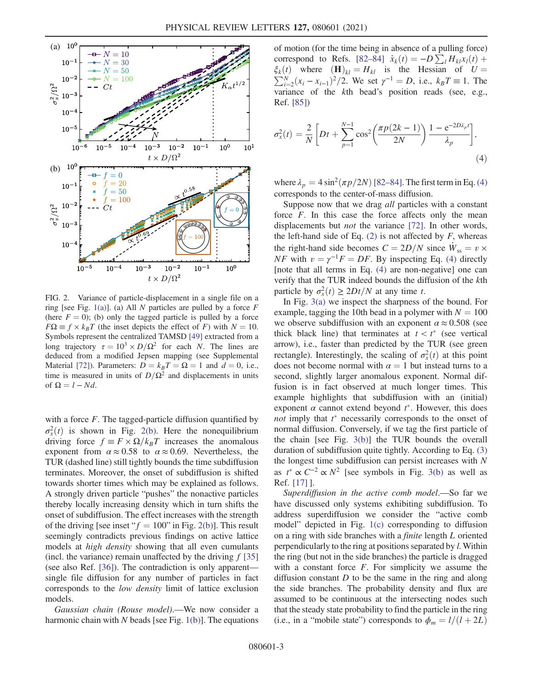<span id="page-2-0"></span>

FIG. 2. Variance of particle-displacement in a single file on a ring [see Fig. [1\(a\)](#page-1-0)]. (a) All N particles are pulled by a force  $F$ (here  $F = 0$ ); (b) only the tagged particle is pulled by a force  $F\Omega \equiv f \times k_B T$  (the inset depicts the effect of F) with  $N = 10$ . Symbols represent the centralized TAMSD [\[49\]](#page-5-5) extracted from a long trajectory  $\tau = 10^3 \times D/\Omega^2$  for each N. The lines are deduced from a modified Jepsen mapping (see Supplemental Material [\[72\]](#page-5-16)). Parameters:  $D = k_B T = \Omega = 1$  and  $d = 0$ , i.e., time is measured in units of  $D/\Omega^2$  and displacements in units of  $\Omega = l - Nd$ .

with a force  $F$ . The tagged-particle diffusion quantified by  $\sigma_x^2(t)$  is shown in Fig. [2\(b\)](#page-2-0). Here the nonequilibrium driving force  $f \equiv F \times \Omega/k_BT$  increases the anomalous exponent from  $\alpha \approx 0.58$  to  $\alpha \approx 0.69$ . Nevertheless, the TUR (dashed line) still tightly bounds the time subdiffusion terminates. Moreover, the onset of subdiffusion is shifted towards shorter times which may be explained as follows. A strongly driven particle "pushes" the nonactive particles thereby locally increasing density which in turn shifts the onset of subdiffusion. The effect increases with the strength of the driving [see inset " $f = 100$ " in Fig. [2\(b\)\]](#page-2-0). This result seemingly contradicts previous findings on active lattice models at high density showing that all even cumulants (incl. the variance) remain unaffected by the driving  $f$  [\[35\]](#page-4-17) (see also Ref. [\[36\]\)](#page-4-19). The contradiction is only apparent single file diffusion for any number of particles in fact corresponds to the low density limit of lattice exclusion models.

Gaussian chain (Rouse model).—We now consider a harmonic chain with N beads [see Fig.  $1(b)$ ]. The equations of motion (for the time being in absence of a pulling force) correspond to Refs. [\[82](#page-5-21)–84]  $\dot{x}_k(t) = -D\sum_l H_{kl}x_l(t) +$  $\xi_k(t)$  where  $(\mathbf{H})_{kl} = H_{kl}$  is the Hessian of  $U = \sum_{k=1}^{N} (x - k)^2 / 2$  We set  $u^{-1} = D$  i.e.  $kT = 1$  The  $\sum_{i=2}^{N} (x_i - x_{i-1})^2 / 2$ . We set  $\gamma^{-1} = D$ , i.e.,  $k_B T \equiv 1$ . The variance of the kth bead's position reads (see, e.g., Ref. [\[85\]\)](#page-5-22)

<span id="page-2-1"></span>
$$
\sigma_x^2(t) = \frac{2}{N} \left[ Dt + \sum_{p=1}^{N-1} \cos^2 \left( \frac{\pi p (2k-1)}{2N} \right) \frac{1 - e^{-2D\lambda_p t}}{\lambda_p} \right],\tag{4}
$$

where  $\lambda_p = 4 \sin^2(\pi p/2N)$  [82–[84\].](#page-5-21) The first term in Eq. [\(4\)](#page-2-1) corresponds to the center-of-mass diffusion.

Suppose now that we drag *all* particles with a constant force  $F$ . In this case the force affects only the mean displacements but *not* the variance [\[72\]](#page-5-16). In other words, the left-hand side of Eq.  $(2)$  is not affected by F, whereas the right-hand side becomes  $C = 2D/N$  since  $W_{ss} = v \times$ NF with  $v = \gamma^{-1}F = DF$ . By inspecting Eq. [\(4\)](#page-2-1) directly [note that all terms in Eq. [\(4\)](#page-2-1) are non-negative] one can verify that the TUR indeed bounds the diffusion of the kth particle by  $\sigma_x^2(t) \ge 2Dt/N$  at any time t.

In Fig. [3\(a\)](#page-3-0) we inspect the sharpness of the bound. For example, tagging the 10th bead in a polymer with  $N = 100$ we observe subdiffusion with an exponent  $\alpha \approx 0.508$  (see thick black line) that terminates at  $t < t^*$  (see vertical arrow), i.e., faster than predicted by the TUR (see green rectangle). Interestingly, the scaling of  $\sigma_x^2(t)$  at this point does not become normal with  $\alpha = 1$  but instead turns to a second, slightly larger anomalous exponent. Normal diffusion is in fact observed at much longer times. This example highlights that subdiffusion with an (initial) exponent  $\alpha$  cannot extend beyond  $t^*$ . However, this does not imply that  $t^*$  necessarily corresponds to the onset of normal diffusion. Conversely, if we tag the first particle of the chain [see Fig. [3\(b\)](#page-3-0)] the TUR bounds the overall duration of subdiffusion quite tightly. According to Eq. [\(3\)](#page-1-1) the longest time subdiffusion can persist increases with N as  $t^* \propto C^{-2} \propto N^2$  [see symbols in Fig. [3\(b\)](#page-3-0) as well as Ref. [\[17\]](#page-4-18) ].

Superdiffusion in the active comb model.—So far we have discussed only systems exhibiting subdiffusion. To address superdiffusion we consider the "active comb model" depicted in Fig. [1\(c\)](#page-1-0) corresponding to diffusion on a ring with side branches with a finite length L oriented perpendicularly to the ring at positions separated by l. Within the ring (but not in the side branches) the particle is dragged with a constant force  $F$ . For simplicity we assume the diffusion constant  $D$  to be the same in the ring and along the side branches. The probability density and flux are assumed to be continuous at the intersecting nodes such that the steady state probability to find the particle in the ring (i.e., in a "mobile state") corresponds to  $\phi_m = l/(l+2L)$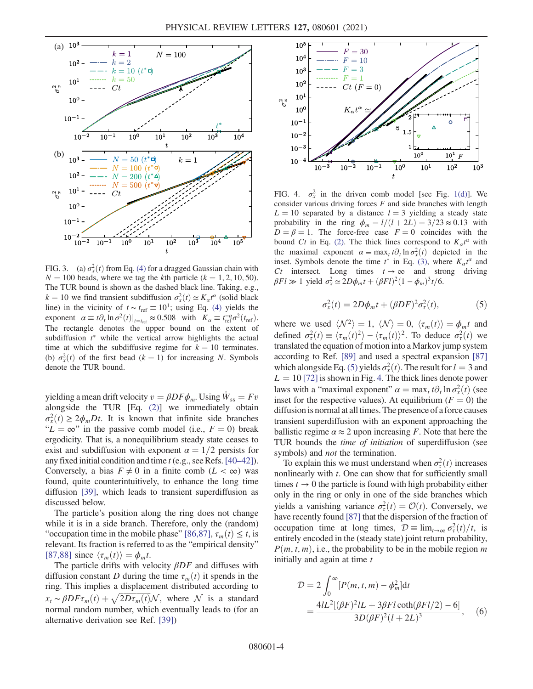<span id="page-3-0"></span>

FIG. 3. (a)  $\sigma_x^2(t)$  from Eq. [\(4\)](#page-2-1) for a dragged Gaussian chain with  $N = 100$  beads, where we tag the kth particle ( $k = 1, 2, 10, 50$ ). The TUR bound is shown as the dashed black line. Taking, e.g.,  $k = 10$  we find transient subdiffusion  $\sigma_x^2(t) \simeq K_a t^a$  (solid black line) in the vicinity of  $t \sim t_{ref} \equiv 10^1$ ; using Eq. [\(4\)](#page-2-1) yields the exponent  $\alpha \equiv t \partial_t \ln \sigma^2(t)|_{t=t_{\text{ref}}} \approx 0.508$  with  $K_\alpha \equiv t_{\text{ref}}^{-\alpha} \sigma^2(t_{\text{ref}})$ . The rectangle denotes the upper bound on the extent of subdiffusion  $t^*$  while the vertical arrow highlights the actual time at which the subdiffusive regime for  $k = 10$  terminates. (b)  $\sigma_x^2(t)$  of the first bead  $(k = 1)$  for increasing N. Symbols denote the TUR bound.

yielding a mean drift velocity  $v = \beta DF \phi_m$ . Using  $\dot{W}_{ss} = Fv$ alongside the TUR [Eq. [\(2\)\]](#page-0-0) we immediately obtain  $\sigma_x^2(t) \ge 2\phi_m Dt$ . It is known that infinite side branches " $L = \infty$ " in the passive comb model (i.e.,  $F = 0$ ) break ergodicity. That is, a nonequilibrium steady state ceases to exist and subdiffusion with exponent  $\alpha = 1/2$  persists for any fixed initial condition and time t (e.g., see Refs.[\[40](#page-5-1)–42]). Conversely, a bias  $F \neq 0$  in a finite comb  $(L < \infty)$  was found, quite counterintuitively, to enhance the long time diffusion [\[39\]](#page-5-0), which leads to transient superdiffusion as discussed below.

The particle's position along the ring does not change while it is in a side branch. Therefore, only the (random) "occupation time in the mobile phase" [\[86,87\]](#page-5-23),  $\tau_m(t) \leq t$ , is relevant. Its fraction is referred to as the "empirical density" [\[87,88\]](#page-5-24) since  $\langle \tau_m(t) \rangle = \phi_m t$ .

<span id="page-3-1"></span>The particle drifts with velocity  $\beta DF$  and diffuses with diffusion constant D during the time  $\tau_m(t)$  it spends in the ring. This implies a displacement distributed according to  $x_t \sim \beta DF \tau_m(t) + \sqrt{2D \tau_m(t)} \mathcal{N}$ , where  $\mathcal{N}$  is a standard normal random number, which eventually leads to (for an alternative derivation see Ref. [\[39\]\)](#page-5-0)

<span id="page-3-2"></span>

FIG. 4.  $\sigma_x^2$  in the driven comb model [see Fig. [1\(d\)](#page-1-0)]. We consider various driving forces  $F$  and side branches with length  $L = 10$  separated by a distance  $l = 3$  yielding a steady state probability in the ring  $\phi_m = l/(l+2L) = 3/23 \approx 0.13$  with  $D = \beta = 1$ . The force-free case  $F = 0$  coincides with the bound Ct in Eq. [\(2\)](#page-0-0). The thick lines correspond to  $K_\alpha t^\alpha$  with the maximal exponent  $\alpha = \max_t t \partial_t \ln \sigma_x^2(t)$  depicted in the inset. Symbols denote the time  $t^*$  in Eq. [\(3\),](#page-1-1) where  $K_a t^a$  and Ct intersect. Long times  $t \to \infty$  and strong driving  $\beta F l \gg 1$  yield  $\sigma_x^2 \simeq 2D\phi_m t + (\beta F l)^2 (1 - \phi_m)^3 t/6$ .

$$
\sigma_x^2(t) = 2D\phi_m t + (\beta DF)^2 \sigma_\tau^2(t),\tag{5}
$$

where we used  $\langle \mathcal{N}^2 \rangle = 1, \langle \mathcal{N} \rangle = 0, \langle \tau_m(t) \rangle = \phi_m t$  and defined  $\sigma_{\tau}^2(t) \equiv \langle \tau_m(t)^2 \rangle - \langle \tau_m(t) \rangle^2$ . To deduce  $\sigma_{\tau}^2(t)$  we translated the equation of motion into a Markov jump system according to Ref. [\[89\]](#page-5-25) and used a spectral expansion [\[87\]](#page-5-24) which alongside Eq. [\(5\)](#page-3-1) yields  $\sigma_x^2(t)$ . The result for  $l = 3$  and  $L = 10$  [\[72\]](#page-5-16) is shown in Fig. [4.](#page-3-2) The thick lines denote power laws with a "maximal exponent"  $\alpha = \max_t t \partial_t \ln \sigma_x^2(t)$  (see inset for the respective values). At equilibrium ( $F = 0$ ) the diffusion is normal at all times. The presence of a force causes transient superdiffusion with an exponent approaching the ballistic regime  $\alpha \approx 2$  upon increasing F. Note that here the TUR bounds the time of initiation of superdiffusion (see symbols) and *not* the termination.

To explain this we must understand when  $\sigma_{\tau}^2(t)$  increases nonlinearly with  $t$ . One can show that for sufficiently small times  $t \to 0$  the particle is found with high probability either only in the ring or only in one of the side branches which yields a vanishing variance  $\sigma_{\tau}^2(t) = \mathcal{O}(t)$ . Conversely, we have recently found [\[87\]](#page-5-24) that the dispersion of the fraction of occupation time at long times,  $\mathcal{D} \equiv \lim_{t \to \infty} \sigma_{\tau}^2(t)/t$ , is entirely encoded in the (steady state) joint return probability,  $P(m, t, m)$ , i.e., the probability to be in the mobile region m initially and again at time  $t$ 

$$
\mathcal{D} = 2 \int_0^{\infty} [P(m, t, m) - \phi_m^2] dt
$$
  
= 
$$
\frac{4lL^2 [(\beta F)^2 lL + 3\beta Fl \coth(\beta Fl/2) - 6]}{3D(\beta F)^2 (l + 2L)^3},
$$
 (6)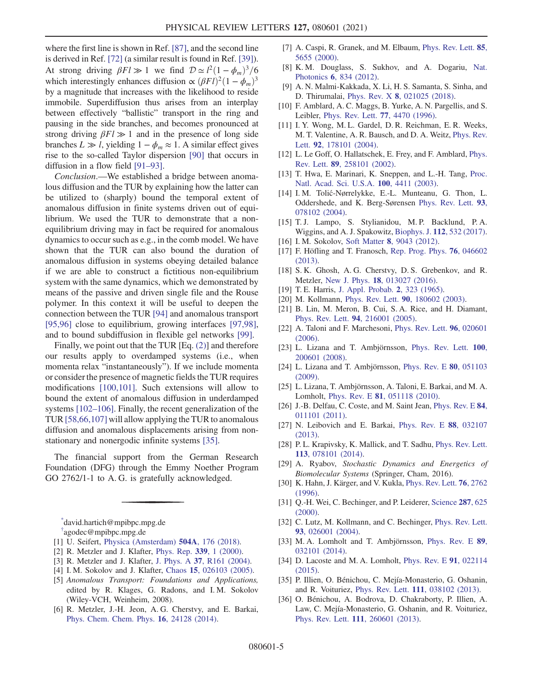where the first line is shown in Ref. [\[87\]](#page-5-24), and the second line is derived in Ref. [\[72\]](#page-5-16) (a similar result is found in Ref. [\[39\]](#page-5-0)). At strong driving  $\beta F l \gg 1$  we find  $\mathcal{D} \simeq l^2 (1 - \phi_m)^3 / 6$ which interestingly enhances diffusion  $\propto (\beta F l)^2 (1 - \phi_m)^3$ by a magnitude that increases with the likelihood to reside immobile. Superdiffusion thus arises from an interplay between effectively "ballistic" transport in the ring and pausing in the side branches, and becomes pronounced at strong driving  $\beta F l \gg 1$  and in the presence of long side branches  $L \gg l$ , yielding  $1 - \phi_m \approx 1$ . A similar effect gives rise to the so-called Taylor dispersion [\[90\]](#page-5-26) that occurs in diffusion in a flow field [91–[93\].](#page-5-27)

Conclusion.—We established a bridge between anomalous diffusion and the TUR by explaining how the latter can be utilized to (sharply) bound the temporal extent of anomalous diffusion in finite systems driven out of equilibrium. We used the TUR to demonstrate that a nonequilibrium driving may in fact be required for anomalous dynamics to occur such as e.g., in the comb model. We have shown that the TUR can also bound the duration of anomalous diffusion in systems obeying detailed balance if we are able to construct a fictitious non-equilibrium system with the same dynamics, which we demonstrated by means of the passive and driven single file and the Rouse polymer. In this context it will be useful to deepen the connection between the TUR [\[94\]](#page-5-28) and anomalous transport [\[95,96\]](#page-5-29) close to equilibrium, growing interfaces [\[97,98\]](#page-5-30), and to bound subdiffusion in flexible gel networks [\[99\].](#page-5-31)

Finally, we point out that the TUR [Eq. [\(2\)\]](#page-0-0) and therefore our results apply to overdamped systems (i.e., when momenta relax "instantaneously"). If we include momenta or consider the presence of magnetic fields the TUR requires modifications [\[100,101\]](#page-6-0). Such extensions will allow to bound the extent of anomalous diffusion in underdamped systems [102–[106\].](#page-6-1) Finally, the recent generalization of the TUR [\[58,66,107\]](#page-5-10) will allow applying the TUR to anomalous diffusion and anomalous displacements arising from nonstationary and nonergodic infinite systems [\[35\]](#page-4-17).

The financial support from the German Research Foundation (DFG) through the Emmy Noether Program GO 2762/1-1 to A. G. is gratefully acknowledged.

<span id="page-4-2"></span><span id="page-4-1"></span><span id="page-4-0"></span>[\\*](#page-0-2) david.hartich@mpibpc.mpg.de [†](#page-0-2) agodec@mpibpc.mpg.de

- <span id="page-4-3"></span>[1] U. Seifert, [Physica \(Amsterdam\)](https://doi.org/10.1016/j.physa.2017.10.024) 504A, 176 (2018).
- [2] R. Metzler and J. Klafter, [Phys. Rep.](https://doi.org/10.1016/S0370-1573(00)00070-3) 339, 1 (2000).
- [3] R. Metzler and J. Klafter, J. Phys. A 37[, R161 \(2004\)](https://doi.org/10.1088/0305-4470/37/31/R01).
- [4] I. M. Sokolov and J. Klafter, Chaos **15**[, 026103 \(2005\)](https://doi.org/10.1063/1.1860472).
- [5] Anomalous Transport: Foundations and Applications, edited by R. Klages, G. Radons, and I. M. Sokolov (Wiley-VCH, Weinheim, 2008).
- [6] R. Metzler, J.-H. Jeon, A. G. Cherstvy, and E. Barkai, [Phys. Chem. Chem. Phys.](https://doi.org/10.1039/C4CP03465A) 16, 24128 (2014).
- <span id="page-4-4"></span>[7] A. Caspi, R. Granek, and M. Elbaum, [Phys. Rev. Lett.](https://doi.org/10.1103/PhysRevLett.85.5655) 85, [5655 \(2000\).](https://doi.org/10.1103/PhysRevLett.85.5655)
- <span id="page-4-5"></span>[8] K. M. Douglass, S. Sukhov, and A. Dogariu, [Nat.](https://doi.org/10.1038/nphoton.2012.278) Photonics 6[, 834 \(2012\)](https://doi.org/10.1038/nphoton.2012.278).
- <span id="page-4-6"></span>[9] A. N. Malmi-Kakkada, X. Li, H. S. Samanta, S. Sinha, and D. Thirumalai, Phys. Rev. X 8[, 021025 \(2018\)](https://doi.org/10.1103/PhysRevX.8.021025).
- <span id="page-4-7"></span>[10] F. Amblard, A. C. Maggs, B. Yurke, A. N. Pargellis, and S. Leibler, [Phys. Rev. Lett.](https://doi.org/10.1103/PhysRevLett.77.4470) 77, 4470 (1996).
- [11] I. Y. Wong, M. L. Gardel, D. R. Reichman, E. R. Weeks, M. T. Valentine, A. R. Bausch, and D. A. Weitz, [Phys. Rev.](https://doi.org/10.1103/PhysRevLett.92.178101) Lett. 92[, 178101 \(2004\)](https://doi.org/10.1103/PhysRevLett.92.178101).
- <span id="page-4-8"></span>[12] L. Le Goff, O. Hallatschek, E. Frey, and F. Amblard, [Phys.](https://doi.org/10.1103/PhysRevLett.89.258101) Rev. Lett. 89[, 258101 \(2002\).](https://doi.org/10.1103/PhysRevLett.89.258101)
- <span id="page-4-9"></span>[13] T. Hwa, E. Marinari, K. Sneppen, and L.-H. Tang, [Proc.](https://doi.org/10.1073/pnas.0736291100) [Natl. Acad. Sci. U.S.A.](https://doi.org/10.1073/pnas.0736291100) 100, 4411 (2003).
- <span id="page-4-10"></span>[14] I. M. Tolić-Nørrelykke, E.-L. Munteanu, G. Thon, L. Oddershede, and K. Berg-Sørensen [Phys. Rev. Lett.](https://doi.org/10.1103/PhysRevLett.93.078102) 93, [078102 \(2004\).](https://doi.org/10.1103/PhysRevLett.93.078102)
- <span id="page-4-11"></span>[15] T. J. Lampo, S. Stylianidou, M. P. Backlund, P. A. Wiggins, and A. J. Spakowitz, Biophys. J. 112[, 532 \(2017\).](https://doi.org/10.1016/j.bpj.2016.11.3208)
- <span id="page-4-18"></span><span id="page-4-12"></span>[16] I. M. Sokolov, Soft Matter 8[, 9043 \(2012\).](https://doi.org/10.1039/c2sm25701g)
- [17] F. Höfling and T. Franosch, [Rep. Prog. Phys.](https://doi.org/10.1088/0034-4885/76/4/046602) 76, 046602 [\(2013\).](https://doi.org/10.1088/0034-4885/76/4/046602)
- [18] S. K. Ghosh, A. G. Cherstvy, D. S. Grebenkov, and R. Metzler, New J. Phys. 18[, 013027 \(2016\).](https://doi.org/10.1088/1367-2630/18/1/013027)
- <span id="page-4-15"></span><span id="page-4-13"></span>[19] T. E. Harris, [J. Appl. Probab.](https://doi.org/10.2307/3212197) 2, 323 (1965).
- [20] M. Kollmann, Phys. Rev. Lett. 90[, 180602 \(2003\)](https://doi.org/10.1103/PhysRevLett.90.180602).
- [21] B. Lin, M. Meron, B. Cui, S. A. Rice, and H. Diamant, Phys. Rev. Lett. 94[, 216001 \(2005\).](https://doi.org/10.1103/PhysRevLett.94.216001)
- [22] A. Taloni and F. Marchesoni, [Phys. Rev. Lett.](https://doi.org/10.1103/PhysRevLett.96.020601) 96, 020601 [\(2006\).](https://doi.org/10.1103/PhysRevLett.96.020601)
- [23] L. Lizana and T. Ambjörnsson, [Phys. Rev. Lett.](https://doi.org/10.1103/PhysRevLett.100.200601) 100, [200601 \(2008\).](https://doi.org/10.1103/PhysRevLett.100.200601)
- [24] L. Lizana and T. Ambjörnsson, [Phys. Rev. E](https://doi.org/10.1103/PhysRevE.80.051103) 80, 051103 [\(2009\).](https://doi.org/10.1103/PhysRevE.80.051103)
- [25] L. Lizana, T. Ambjörnsson, A. Taloni, E. Barkai, and M. A. Lomholt, Phys. Rev. E 81[, 051118 \(2010\)](https://doi.org/10.1103/PhysRevE.81.051118).
- [26] J.-B. Delfau, C. Coste, and M. Saint Jean, [Phys. Rev. E](https://doi.org/10.1103/PhysRevE.84.011101) 84, [011101 \(2011\).](https://doi.org/10.1103/PhysRevE.84.011101)
- <span id="page-4-16"></span>[27] N. Leibovich and E. Barkai, [Phys. Rev. E](https://doi.org/10.1103/PhysRevE.88.032107) 88, 032107 [\(2013\).](https://doi.org/10.1103/PhysRevE.88.032107)
- [28] P. L. Krapivsky, K. Mallick, and T. Sadhu, [Phys. Rev. Lett.](https://doi.org/10.1103/PhysRevLett.113.078101) 113[, 078101 \(2014\)](https://doi.org/10.1103/PhysRevLett.113.078101).
- [29] A. Ryabov, Stochastic Dynamics and Energetics of Biomolecular Systems (Springer, Cham, 2016).
- <span id="page-4-14"></span>[30] K. Hahn, J. Kärger, and V. Kukla, [Phys. Rev. Lett.](https://doi.org/10.1103/PhysRevLett.76.2762) 76, 2762 [\(1996\).](https://doi.org/10.1103/PhysRevLett.76.2762)
- [31] Q.-H. Wei, C. Bechinger, and P. Leiderer, [Science](https://doi.org/10.1126/science.287.5453.625) 287, 625 [\(2000\).](https://doi.org/10.1126/science.287.5453.625)
- [32] C. Lutz, M. Kollmann, and C. Bechinger, [Phys. Rev. Lett.](https://doi.org/10.1103/PhysRevLett.93.026001) 93[, 026001 \(2004\).](https://doi.org/10.1103/PhysRevLett.93.026001)
- [33] M.A. Lomholt and T. Ambjörnsson, [Phys. Rev. E](https://doi.org/10.1103/PhysRevE.89.032101) 89, [032101 \(2014\).](https://doi.org/10.1103/PhysRevE.89.032101)
- [34] D. Lacoste and M. A. Lomholt, [Phys. Rev. E](https://doi.org/10.1103/PhysRevE.91.022114) 91, 022114 [\(2015\).](https://doi.org/10.1103/PhysRevE.91.022114)
- <span id="page-4-19"></span><span id="page-4-17"></span>[35] P. Illien, O. Bénichou, C. Mejía-Monasterio, G. Oshanin, and R. Voituriez, Phys. Rev. Lett. 111[, 038102 \(2013\).](https://doi.org/10.1103/PhysRevLett.111.038102)
- [36] O. Bénichou, A. Bodrova, D. Chakraborty, P. Illien, A. Law, C. Mejía-Monasterio, G. Oshanin, and R. Voituriez, Phys. Rev. Lett. 111[, 260601 \(2013\).](https://doi.org/10.1103/PhysRevLett.111.260601)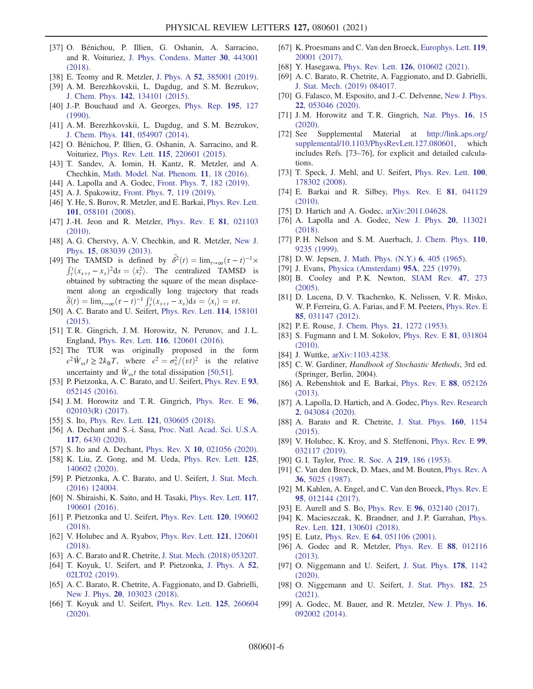- [37] O. Bénichou, P. Illien, G. Oshanin, A. Sarracino, and R. Voituriez, [J. Phys. Condens. Matter](https://doi.org/10.1088/1361-648X/aae13a) 30, 443001 [\(2018\).](https://doi.org/10.1088/1361-648X/aae13a)
- [38] E. Teomy and R. Metzler, J. Phys. A 52[, 385001 \(2019\).](https://doi.org/10.1088/1751-8121/ab37e4)
- <span id="page-5-0"></span>[39] A. M. Berezhkovskii, L. Dagdug, and S. M. Bezrukov, J. Chem. Phys. 142[, 134101 \(2015\)](https://doi.org/10.1063/1.4916310).
- <span id="page-5-1"></span>[40] J.-P. Bouchaud and A. Georges, [Phys. Rep.](https://doi.org/10.1016/0370-1573(90)90099-N) 195, 127 [\(1990\).](https://doi.org/10.1016/0370-1573(90)90099-N)
- [41] A. M. Berezhkovskii, L. Dagdug, and S. M. Bezrukov, J. Chem. Phys. 141[, 054907 \(2014\)](https://doi.org/10.1063/1.4891566).
- [42] O. Bénichou, P. Illien, G. Oshanin, A. Sarracino, and R. Voituriez, Phys. Rev. Lett. 115[, 220601 \(2015\).](https://doi.org/10.1103/PhysRevLett.115.220601)
- [43] T. Sandev, A. Iomin, H. Kantz, R. Metzler, and A. Chechkin, [Math. Model. Nat. Phenom.](https://doi.org/10.1051/mmnp/201611302) 11, 18 (2016).
- <span id="page-5-2"></span>[44] A. Lapolla and A. Godec, Front. Phys. 7[, 182 \(2019\)](https://doi.org/10.3389/fphy.2019.00182).
- <span id="page-5-3"></span>[45] A. J. Spakowitz, Front. Phys. 7[, 119 \(2019\).](https://doi.org/10.3389/fphy.2019.00119)
- [46] Y. He, S. Burov, R. Metzler, and E. Barkai, [Phys. Rev. Lett.](https://doi.org/10.1103/PhysRevLett.101.058101) 101[, 058101 \(2008\)](https://doi.org/10.1103/PhysRevLett.101.058101).
- <span id="page-5-4"></span>[47] J.-H. Jeon and R. Metzler, [Phys. Rev. E](https://doi.org/10.1103/PhysRevE.81.021103) **81**, 021103 [\(2010\).](https://doi.org/10.1103/PhysRevE.81.021103)
- [48] A. G. Cherstvy, A. V. Chechkin, and R. Metzler, [New J.](https://doi.org/10.1088/1367-2630/15/8/083039) Phys. 15[, 083039 \(2013\).](https://doi.org/10.1088/1367-2630/15/8/083039)
- <span id="page-5-5"></span>[49] The TAMSD is defined by  $\bar{\delta}^2(t) = \lim_{\tau \to \infty} (\tau - t)^{-1} \times$ <br>  $\int_{\tau}^{t} (x_{s+t} - x_s)^2 ds = \langle x_t^2 \rangle$ . The centralized TAMSD is  $\int_{\tau}^{\tau} (x_{s+t} - x_s)^2 ds = \langle x_t^2 \rangle$ . The centralized TAMSD is obtained by subtracting the square of the mean displacement along an ergodically long trajectory that reads  $\bar{\delta}(t) = \lim_{\tau \to \infty} (\tau - t)^{-1} \int_{\tau}^{t} (x_{s+t} - x_s) \mathrm{d}s = \langle x_t \rangle = vt.$
- <span id="page-5-6"></span>[50] A. C. Barato and U. Seifert, [Phys. Rev. Lett.](https://doi.org/10.1103/PhysRevLett.114.158101) 114, 158101 [\(2015\).](https://doi.org/10.1103/PhysRevLett.114.158101)
- [51] T. R. Gingrich, J. M. Horowitz, N. Perunov, and J. L. England, Phys. Rev. Lett. 116[, 120601 \(2016\).](https://doi.org/10.1103/PhysRevLett.116.120601)
- <span id="page-5-7"></span>[52] The TUR was originally proposed in the form  $\epsilon^2 \dot{W}_{\rm ss} t \ge 2k_{\rm B}T$ , where  $\epsilon^2 = \sigma_x^2/(vt)^2$  is the relative uncertainty and  $\dot{W}_{\rm ss}t$  the total dissipation [\[50,51\]](#page-5-6).
- <span id="page-5-8"></span>[53] P. Pietzonka, A. C. Barato, and U. Seifert, [Phys. Rev. E](https://doi.org/10.1103/PhysRevE.93.052145) 93, [052145 \(2016\).](https://doi.org/10.1103/PhysRevE.93.052145)
- [54] J.M. Horowitz and T.R. Gingrich, [Phys. Rev. E](https://doi.org/10.1103/PhysRevE.96.020103) 96, [020103\(R\) \(2017\).](https://doi.org/10.1103/PhysRevE.96.020103)
- <span id="page-5-9"></span>[55] S. Ito, Phys. Rev. Lett. **121**[, 030605 \(2018\).](https://doi.org/10.1103/PhysRevLett.121.030605)
- [56] A. Dechant and S.-i. Sasa, [Proc. Natl. Acad. Sci. U.S.A.](https://doi.org/10.1073/pnas.1918386117) 117[, 6430 \(2020\).](https://doi.org/10.1073/pnas.1918386117)
- <span id="page-5-10"></span>[57] S. Ito and A. Dechant, Phys. Rev. X 10[, 021056 \(2020\).](https://doi.org/10.1103/PhysRevX.10.021056)
- [58] K. Liu, Z. Gong, and M. Ueda, [Phys. Rev. Lett.](https://doi.org/10.1103/PhysRevLett.125.140602) 125, [140602 \(2020\).](https://doi.org/10.1103/PhysRevLett.125.140602)
- <span id="page-5-11"></span>[59] P. Pietzonka, A. C. Barato, and U. Seifert, [J. Stat. Mech.](https://doi.org/10.1088/1742-5468/2016/12/124004) [\(2016\) 124004.](https://doi.org/10.1088/1742-5468/2016/12/124004)
- <span id="page-5-12"></span>[60] N. Shiraishi, K. Saito, and H. Tasaki, [Phys. Rev. Lett.](https://doi.org/10.1103/PhysRevLett.117.190601) 117, [190601 \(2016\).](https://doi.org/10.1103/PhysRevLett.117.190601)
- [61] P. Pietzonka and U. Seifert, [Phys. Rev. Lett.](https://doi.org/10.1103/PhysRevLett.120.190602) 120, 190602 [\(2018\).](https://doi.org/10.1103/PhysRevLett.120.190602)
- <span id="page-5-13"></span>[62] V. Holubec and A. Ryabov, [Phys. Rev. Lett.](https://doi.org/10.1103/PhysRevLett.121.120601) **121**, 120601 [\(2018\).](https://doi.org/10.1103/PhysRevLett.121.120601)
- [63] A. C. Barato and R. Chetrite, [J. Stat. Mech. \(2018\) 053207.](https://doi.org/10.1088/1742-5468/aabfc5)
- [64] T. Koyuk, U. Seifert, and P. Pietzonka, [J. Phys. A](https://doi.org/10.1088/1751-8121/aaeec4) 52, [02LT02 \(2019\).](https://doi.org/10.1088/1751-8121/aaeec4)
- [65] A. C. Barato, R. Chetrite, A. Faggionato, and D. Gabrielli, New J. Phys. 20[, 103023 \(2018\)](https://doi.org/10.1088/1367-2630/aae512).
- [66] T. Koyuk and U. Seifert, [Phys. Rev. Lett.](https://doi.org/10.1103/PhysRevLett.125.260604) **125**, 260604 [\(2020\).](https://doi.org/10.1103/PhysRevLett.125.260604)
- <span id="page-5-14"></span>[67] K. Proesmans and C. Van den Broeck, [Europhys. Lett.](https://doi.org/10.1209/0295-5075/119/20001) 119, [20001 \(2017\).](https://doi.org/10.1209/0295-5075/119/20001)
- <span id="page-5-15"></span>[68] Y. Hasegawa, Phys. Rev. Lett. **126**[, 010602 \(2021\)](https://doi.org/10.1103/PhysRevLett.126.010602).
- [69] A. C. Barato, R. Chetrite, A. Faggionato, and D. Gabrielli, [J. Stat. Mech. \(2019\) 084017.](https://doi.org/10.1088/1742-5468/ab3457)
- [70] G. Falasco, M. Esposito, and J.-C. Delvenne, [New J. Phys.](https://doi.org/10.1088/1367-2630/ab8679) 22[, 053046 \(2020\).](https://doi.org/10.1088/1367-2630/ab8679)
- [71] J. M. Horowitz and T. R. Gingrich, [Nat. Phys.](https://doi.org/10.1038/s41567-019-0702-6) 16, 15 [\(2020\).](https://doi.org/10.1038/s41567-019-0702-6)
- <span id="page-5-16"></span>[72] See Supplemental Material at [http://link.aps.org/](http://link.aps.org/supplemental/10.1103/PhysRevLett.127.080601) [supplemental/10.1103/PhysRevLett.127.080601,](http://link.aps.org/supplemental/10.1103/PhysRevLett.127.080601) which includes Refs. [73–76], for explicit and detailed calculations.
- [73] T. Speck, J. Mehl, and U. Seifert, [Phys. Rev. Lett.](https://doi.org/10.1103/PhysRevLett.100.178302) 100, [178302 \(2008\).](https://doi.org/10.1103/PhysRevLett.100.178302)
- [74] E. Barkai and R. Silbey, [Phys. Rev. E](https://doi.org/10.1103/PhysRevE.81.041129) 81, 041129 [\(2010\).](https://doi.org/10.1103/PhysRevE.81.041129)
- [75] D. Hartich and A. Godec, [arXiv:2011.04628](https://arXiv.org/abs/2011.04628).
- [76] A. Lapolla and A. Godec, [New J. Phys.](https://doi.org/10.1088/1367-2630/aaea1b) 20, 113021 [\(2018\).](https://doi.org/10.1088/1367-2630/aaea1b)
- <span id="page-5-17"></span>[77] P. H. Nelson and S. M. Auerbach, [J. Chem. Phys.](https://doi.org/10.1063/1.478847) 110, [9235 \(1999\).](https://doi.org/10.1063/1.478847)
- <span id="page-5-18"></span>[78] D. W. Jepsen, [J. Math. Phys. \(N.Y.\)](https://doi.org/10.1063/1.1704288) 6, 405 (1965).
- <span id="page-5-19"></span>[79] J. Evans, [Physica \(Amsterdam\)](https://doi.org/10.1016/0378-4371(79)90053-0) 95A, 225 (1979).
- [80] B. Cooley and P.K. Newton, [SIAM Rev.](https://doi.org/10.1137/S003614450342658X) 47, 273 [\(2005\).](https://doi.org/10.1137/S003614450342658X)
- <span id="page-5-20"></span>[81] D. Lucena, D. V. Tkachenko, K. Nelissen, V. R. Misko, W. P. Ferreira, G. A. Farias, and F. M. Peeters, [Phys. Rev. E](https://doi.org/10.1103/PhysRevE.85.031147) 85[, 031147 \(2012\).](https://doi.org/10.1103/PhysRevE.85.031147)
- <span id="page-5-21"></span>[82] P. E. Rouse, [J. Chem. Phys.](https://doi.org/10.1063/1.1699180) 21, 1272 (1953).
- [83] S. Fugmann and I. M. Sokolov, [Phys. Rev. E](https://doi.org/10.1103/PhysRevE.81.031804) 81, 031804 [\(2010\).](https://doi.org/10.1103/PhysRevE.81.031804)
- [84] J. Wuttke, [arXiv:1103.4238](https://arXiv.org/abs/1103.4238).
- <span id="page-5-22"></span>[85] C. W. Gardiner, *Handbook of Stochastic Methods*, 3rd ed. (Springer, Berlin, 2004).
- <span id="page-5-23"></span>[86] A. Rebenshtok and E. Barkai, [Phys. Rev. E](https://doi.org/10.1103/PhysRevE.88.052126) 88, 052126 [\(2013\).](https://doi.org/10.1103/PhysRevE.88.052126)
- <span id="page-5-24"></span>[87] A. Lapolla, D. Hartich, and A. Godec, [Phys. Rev. Research](https://doi.org/10.1103/PhysRevResearch.2.043084) 2[, 043084 \(2020\).](https://doi.org/10.1103/PhysRevResearch.2.043084)
- [88] A. Barato and R. Chetrite, [J. Stat. Phys.](https://doi.org/10.1007/s10955-015-1283-0) 160, 1154 [\(2015\).](https://doi.org/10.1007/s10955-015-1283-0)
- <span id="page-5-25"></span>[89] V. Holubec, K. Kroy, and S. Steffenoni, [Phys. Rev. E](https://doi.org/10.1103/PhysRevE.99.032117) 99, [032117 \(2019\).](https://doi.org/10.1103/PhysRevE.99.032117)
- <span id="page-5-27"></span><span id="page-5-26"></span>[90] G. I. Taylor, [Proc. R. Soc. A](https://doi.org/10.1098/rspa.1953.0139) 219, 186 (1953).
- [91] C. Van den Broeck, D. Maes, and M. Bouten, [Phys. Rev. A](https://doi.org/10.1103/PhysRevA.36.5025) 36[, 5025 \(1987\)](https://doi.org/10.1103/PhysRevA.36.5025).
- [92] M. Kahlen, A. Engel, and C. Van den Broeck, [Phys. Rev. E](https://doi.org/10.1103/PhysRevE.95.012144) 95[, 012144 \(2017\).](https://doi.org/10.1103/PhysRevE.95.012144)
- <span id="page-5-28"></span>[93] E. Aurell and S. Bo, Phys. Rev. E 96[, 032140 \(2017\).](https://doi.org/10.1103/PhysRevE.96.032140)
- [94] K. Macieszczak, K. Brandner, and J. P. Garrahan, [Phys.](https://doi.org/10.1103/PhysRevLett.121.130601) Rev. Lett. 121[, 130601 \(2018\)](https://doi.org/10.1103/PhysRevLett.121.130601).
- <span id="page-5-29"></span>[95] E. Lutz, Phys. Rev. E **64**[, 051106 \(2001\).](https://doi.org/10.1103/PhysRevE.64.051106)
- [96] A. Godec and R. Metzler, [Phys. Rev. E](https://doi.org/10.1103/PhysRevE.88.012116) 88, 012116 [\(2013\).](https://doi.org/10.1103/PhysRevE.88.012116)
- <span id="page-5-30"></span>[97] O. Niggemann and U. Seifert, [J. Stat. Phys.](https://doi.org/10.1007/s10955-019-02479-x) 178, 1142 [\(2020\).](https://doi.org/10.1007/s10955-019-02479-x)
- [98] O. Niggemann and U. Seifert, [J. Stat. Phys.](https://doi.org/10.1007/s10955-020-02692-z) 182, 25 [\(2021\).](https://doi.org/10.1007/s10955-020-02692-z)
- <span id="page-5-31"></span>[99] A. Godec, M. Bauer, and R. Metzler, [New J. Phys.](https://doi.org/10.1088/1367-2630/16/9/092002) 16, [092002 \(2014\).](https://doi.org/10.1088/1367-2630/16/9/092002)